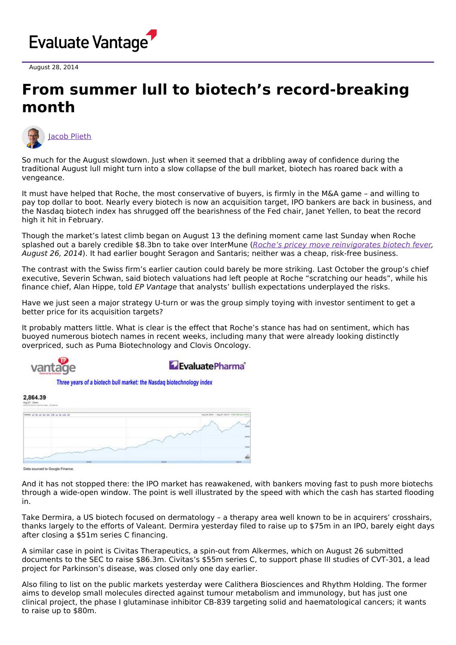

August 28, 2014

## **From summer lull to biotech's record-breaking month**



So much for the August slowdown. Just when it seemed that a dribbling away of confidence during the traditional August lull might turn into a slow collapse of the bull market, biotech has roared back with a vengeance.

It must have helped that Roche, the most conservative of buyers, is firmly in the M&A game – and willing to pay top dollar to boot. Nearly every biotech is now an acquisition target, IPO bankers are back in business, and the Nasdaq biotech index has shrugged off the bearishness of the Fed chair, Janet Yellen, to beat the record high it hit in February.

Though the market's latest climb began on August 13 the defining moment came last Sunday when Roche splashed out a barely credible \$8.3bn to take over InterMune (Roche's pricey move [reinvigorates](http://epvantage.com/Universal/View.aspx?type=Story&id=526212&isEPVantage=yes) biotech fever, August 26, 2014). It had earlier bought Seragon and Santaris; neither was a cheap, risk-free business.

The contrast with the Swiss firm's earlier caution could barely be more striking. Last October the group's chief executive, Severin Schwan, said biotech valuations had left people at Roche "scratching our heads", while his finance chief, Alan Hippe, told EP Vantage that analysts' bullish expectations underplayed the risks.

Have we just seen a major strategy U-turn or was the group simply toying with investor sentiment to get a better price for its acquisition targets?

It probably matters little. What is clear is the effect that Roche's stance has had on sentiment, which has buoyed numerous biotech names in recent weeks, including many that were already looking distinctly overpriced, such as Puma Biotechnology and Clovis Oncology.



E Fyaluate Pharma<sup>®</sup>

Three years of a biotech bull market: the Nasdaq biotechnology index

| 2,864.39                                 |      |      |                                                 |
|------------------------------------------|------|------|-------------------------------------------------|
| From 25 26 14: 28 for 178: 10 To 176: 40 |      |      | Aug 24, 2011 / Aug 27, 2014 / 1944-18 (211-449) |
|                                          |      |      | 2500<br>iso                                     |
|                                          |      |      | 1800                                            |
|                                          | 2012 | 2011 | ú.<br>(2014)                                    |

Data sourced to Google Finance

And it has not stopped there: the IPO market has reawakened, with bankers moving fast to push more biotechs through a wide-open window. The point is well illustrated by the speed with which the cash has started flooding in.

Take Dermira, a US biotech focused on dermatology – a therapy area well known to be in acquirers' crosshairs, thanks largely to the efforts of Valeant. Dermira yesterday filed to raise up to \$75m in an IPO, barely eight days after closing a \$51m series C financing.

A similar case in point is Civitas Therapeutics, a spin-out from Alkermes, which on August 26 submitted documents to the SEC to raise \$86.3m. Civitas's \$55m series C, to support phase III studies of CVT-301, a lead project for Parkinson's disease, was closed only one day earlier.

Also filing to list on the public markets yesterday were Calithera Biosciences and Rhythm Holding. The former aims to develop small molecules directed against tumour metabolism and immunology, but has just one clinical project, the phase I glutaminase inhibitor CB-839 targeting solid and haematological cancers; it wants to raise up to \$80m.